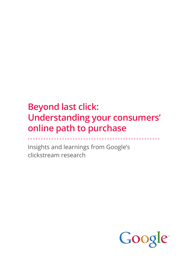# **Beyond last click: Understanding your consumers' online path to purchase**

Insights and learnings from Google's clickstream research

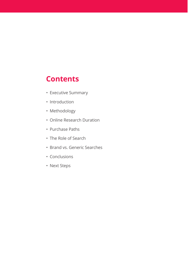### **Contents**

- Executive Summary
- · Introduction
- · Methodology
- Online Research Duration
- Purchase Paths
- The Role of Search
- · Brand vs. Generic Searches
- Conclusions
- Next Steps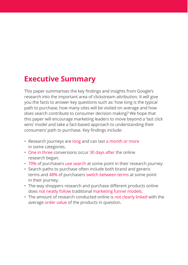## **Executive Summary**

This paper summarises the key findings and insights from Google's research into the important area of clickstream attribution. It will give you the facts to answer key questions such as: how long is the typical path to purchase, how many sites will be visited on average and how does search contribute to consumer decision making? We hope that this paper will encourage marketing leaders to move beyond a 'last click wins' model and take a fact-based approach to understanding their consumers' path to purchase. Key findings include:

- Research journeys are long and can last a month or more in some categories.
- One in three conversions occur 30 days after the online research began.
- 70% of purchasers use search at some point in their research journey.
- Search paths to purchase often include both brand and generic terms and 48% of purchasers switch between terms at some point in their journey.
- The way shoppers research and purchase different products online does not neatly follow traditional marketing funnel models.
- The amount of research conducted online is not clearly linked with the average order value of the products in question.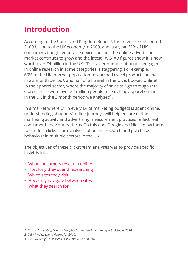## **Introduction**

According to the Connected Kingdom Report<sup>1</sup>, the Internet contributed £100 billion to the UK economy in 2009, and last year 62% of UK consumers bought goods or services online. The online advertising market continues to grow and the latest PwC/IAB figures show it is now worth over £4 billion in the UK<sup>2</sup>. The sheer number of people engaged in online research in some categories is staggering. For example, 60% of the UK internet population researched travel products online in a 3 month period<sup>3</sup>, and half of all travel in the UK is booked online<sup>1</sup>. In the apparel sector, where the majority of sales still go through retail stores, there were over 22 million people researching apparel online in the UK in the 3 month period we analysed<sup>2</sup>.

In a market where £1 in every £4 of marketing budgets is spent online, understanding shoppers' online journeys will help ensure online marketing activity and advertising measurement practices reflect real consumer behaviour patterns. To this end, Google and Nielsen partnered to conduct clickstream analyses of online research and purchase behaviour in multiple sectors in the UK.

The objectives of these clickstream analyses was to provide specific insights into:

- What consumers research online
- How long they spend researching
- Which sites they visit
- How they navigate between sites
- What they search for

<sup>1.</sup> Boston Consulting Group / Google - Connected Kingdom report, October 2010.

<sup>2.</sup> IAB / PwC as spend figures for 2010.

<sup>3.</sup> Custom Google / Nielsen clickstream research, 2010.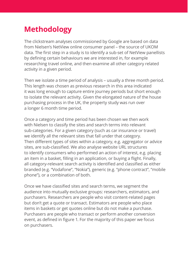# **Methodology**

The clickstream analyses commissioned by Google are based on data from Nielsen's NetView online consumer panel – the source of UKOM data. The first step in a study is to identify a sub-set of NetView panellists by defining certain behaviours we are interested in, for example researching travel online, and then examine all other category related activity in a given period.

Then we isolate a time period of analysis - usually a three month period. This length was chosen as previous research in this area indicated it was long enough to capture entire journey periods but short enough to isolate the relevant activity. Given the elongated nature of the house purchasing process in the UK, the property study was run over a longer 6 month time period.

Once a category and time period has been chosen we then work with Nielsen to classify the sites and search terms into relevant sub-categories. For a given category (such as car insurance or travel) we identify all the relevant sites that fall under that category. Then different types of sites within a category, e.g. aggregator or advice sites, are sub-classified. We also analyse website URL structures to identify consumers who performed an action of interest, e.g. placing an item in a basket, filling in an application, or buying a flight. Finally, all category-relevant search activity is identified and classified as either branded (e.g. "Vodafone", "Nokia"), generic (e.g. "phone contract", "mobile phone"), or a combination of both.

Once we have classified sites and search terms, we segment the audience into mutually exclusive groups: researchers, estimators, and purchasers. Researchers are people who visit content-related pages but don't get a quote or transact. Estimators are people who place items in baskets or get quotes online but do not make a purchase. Purchasers are people who transact or perform another conversion event, as defined in figure 1. For the maiority of this paper we focus on purchasers.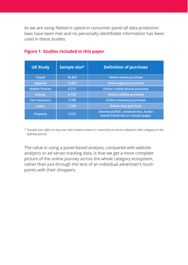As we are using Nielsen's opted-in consumer panel all data protection laws have been met and no personally identifiable information has been used in these studies.

| <b>UK Study</b>      | Sample size* | <b>Definition of purchase</b>                                               |  |
|----------------------|--------------|-----------------------------------------------------------------------------|--|
| <b>Travel</b>        | 15,453       | Online travel purchase                                                      |  |
| Apparel              | 12,831       | Online apparel purchase                                                     |  |
| <b>Mobile Phones</b> | 6,713        | Online mobile phone purchase                                                |  |
| Energy               | 4,729        | Online utilities purchase                                                   |  |
| <b>Car Insurance</b> | 3.796        | Online insurance purchase                                                   |  |
| Loans                | 1.700        | Online loan purchase                                                        |  |
| <b>Property</b>      | 3.722        | Download (PDF, schedule etc), Action<br>(email friend etc) or contact pages |  |

#### **Figure 1: Studies included in this paper**

\* Sample size refers to any user who visited content or searched on terms related to that category in the  $defined$  *period.* 

The value in using a panel-based analysis, compared with website analytics or ad server tracking data, is that we get a more complete picture of the online journey across the whole category ecosystem, rather than just through the lens of an individual advertiser's touch points with their shoppers.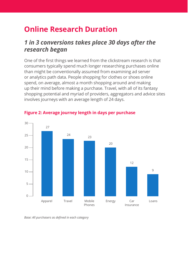# **Online Research Duration**

### *1 in 3 conversions takes place 30 days after the research began*

One of the first things we learned from the clickstream research is that consumers typically spend much longer researching purchases online than might be conventionally assumed from examining ad server or analytics path data. People shopping for clothes or shoes online spend, on average, almost a month shopping around and making up their mind before making a purchase. Travel, with all of its fantasy shopping potential and myriad of providers, aggregators and advice sites involves journeys with an average length of 24 days.



#### **Figure 2: Average journey length in days per purchase**

*Base: All purchasers as defined in each category*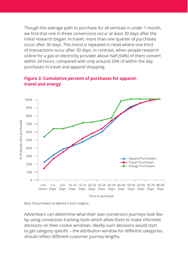Though the average path to purchase for all verticals is under 1 month. we find that one in three conversions occur at least 30 days after the initial research began. In travel, more than one quarter of purchases occur after 30 days. This trend is repeated in retail where one third of transactions occur after 30 days. In contrast, when people research online for a gas or electricity provider about half (54%) of them convert within 24 hours, compared with only around 20% of within the day purchases in travel and apparel shopping.



#### **Figure 3: Cumulative percent of purchases for apparel, travel and energy**

*Base: All purchasers as defined in each category* 

Advertisers can determine what their own conversion journeys look like by using conversion tracking tools which allow them to make informed decisions on their cookie windows. Ideally such decisions would start to get category specific - the attribution window for different categories should reflect different customer journey lengths.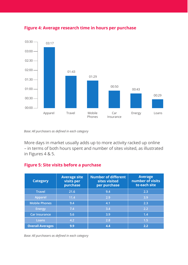

#### **Figure 4: Average research time in hours per purchase**

*Base: All purchasers as defined in each category* 

More days in market usually adds up to more activity racked up online - in terms of both hours spent and number of sites visited, as illustrated in Figures 4 & 5.

#### **Figure 5: Site visits before a purchase**

| <b>Category</b>         | <b>Average site</b><br>visits per<br>purchase | <b>Number of different</b><br>sites visited<br>per purchase | <b>Average</b><br>number of visits<br>to each site |
|-------------------------|-----------------------------------------------|-------------------------------------------------------------|----------------------------------------------------|
| <b>Travel</b>           | 21.6                                          | 9.4                                                         | 2.3                                                |
| Apparel                 | 11.4                                          | 2.9                                                         | 3.9                                                |
| <b>Mobile Phones</b>    | 9.4                                           | 4.1                                                         | 2.3                                                |
| <b>Energy</b>           | 7.4                                           | 3.4                                                         | 2.2                                                |
| <b>Car Insurance</b>    | 5.6                                           | 3.9                                                         | 1.4                                                |
| Loans                   | 4.2                                           | 2.8                                                         | 1.5                                                |
| <b>Overall Averages</b> | 9.9                                           | 4.4                                                         | 2.2                                                |

*Base: All purchasers as defined in each category*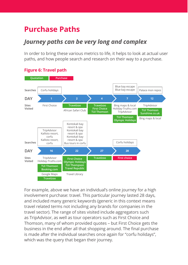# **Purchase Paths**

### *Journey paths can be very long and complex*

In order to bring these various metrics to life, it helps to look at actual user paths, and how people search and research on their way to a purchase.



#### **Figure 6: Travel path**

For example, above we have an individual's online journey for a high involvement purchase: travel. This particular iourney lasted 28 days. and included many generic keywords (generic in this context means travel related terms not including any brands for companies in the travel sector). The range of sites visited include aggregators such as TripAdvisor, as well as tour operators such as First Choice and Thomson, many of whom provided quotes - but First Choice gets the business in the end after all that shopping around. The final purchase is made after the individual searches once again for "corfu holidays". which was the query that began their journey.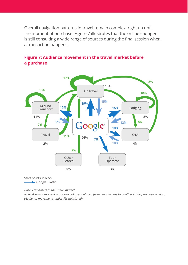Overall navigation patterns in travel remain complex, right up until the moment of purchase. Figure 7 illustrates that the online shopper is still consulting a wide range of sources during the final session when a transaction happens.



#### **Figure 7: Audience movement in the travel market before a purchase**

Start points in black  $\rightarrow$  Google Traffic

*Base: Purchasers in the Travel market.* 

Note: Arrows represent proportion of users who go from one site type to another in the purchase session. *(Audience movements under 7% not stated)*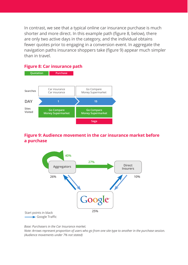In contrast, we see that a typical online car insurance purchase is much shorter and more direct. In this example path (figure 8, below), there are only two active days in the category, and the individual obtains fewer quotes prior to engaging in a conversion event. In aggregate the navigation paths insurance shoppers take (figure 9) appear much simpler than in travel.

#### **Figure 8: Car insurance path**



#### **Figure 9: Audience movement in the car insurance market before a purchase**



*Base: Purchasers in the Car Insurance market.* 

Note: Arrows represent proportion of users who go from one site type to another in the purchase session. *(Audience movements under 7% not stated)*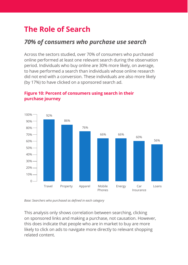# **The Role of Search**

### *70% of consumers who purchase use search*

Across the sectors studied, over 70% of consumers who purchased online performed at least one relevant search during the observation period. Individuals who buy online are 30% more likely, on average, to have performed a search than individuals whose online research did not end with a conversion. These individuals are also more likely (by 17%) to have clicked on a sponsored search ad.



#### Figure 10: Percent of consumers using search in their **purchase journey**

*Base: Searchers who purchased as defined in each category* 

This analysis only shows correlation between searching, clicking on sponsored links and making a purchase, not causation. However, this does indicate that people who are in market to buy are more likely to click on ads to navigate more directly to relevant shopping related content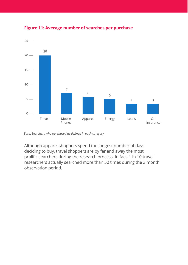

Figure 11: Average number of searches per purchase

Base: Searchers who purchased as defined in each category

Although apparel shoppers spend the longest number of days deciding to buy, travel shoppers are by far and away the most prolific searchers during the research process. In fact, 1 in 10 travel researchers actually searched more than 50 times during the 3 month observation period.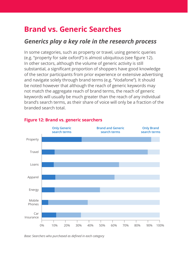## **Brand vs. Generic Searches**

### *Generics play a key role in the research process*

In some categories, such as property or travel, using generic queries (e.g. "property for sale oxford") is almost ubiquitous (see figure 12). In other sectors, although the volume of generic activity is still substantial, a significant proportion of shoppers have good knowledge of the sector participants from prior experience or extensive advertising and navigate solely through brand terms (e.g. "Vodafone"). It should be noted however that although the reach of generic keywords may not match the aggregate reach of brand terms, the reach of generic keywords will usually be much greater than the reach of any individual brand's search terms, as their share of voice will only be a fraction of the hranded search total



#### **Figure 12: Brand vs. generic searchers**

*Base: Searchers who purchased as defined in each category*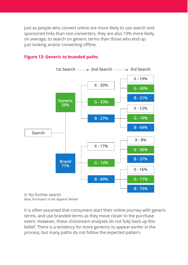- lust as people who convert online are more likely to use search and sponsored links than non-converters, they are also 19% more likely, on average, to search on generic terms than those who end up just looking and/or converting offline.

#### **Figure 13: Generic to branded paths**



*Base: Purchasers in the 'Apparel' Market*

It is often assumed that consumers start their online journey with generic terms, and use branded terms as they move closer to the purchase event. However, these clickstream analyses do not fully back up this belief. There is a tendency for more generics to appear earlier in the process, but many paths do not follow the expected pattern.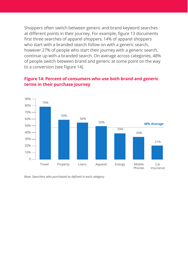Shoppers often switch between generic and brand keyword searches at different points in their journey. For example, figure 13 documents first three searches of apparel shoppers. 14% of apparel shoppers who start with a branded search follow on with a generic search. however 27% of people who start their journey with a generic search, continue up with a branded search. On average across categories, 48% of people switch between brand and generic at some point on the way to a conversion (see Figure 14).



#### Figure 14: Percent of consumers who use both brand and generic **terms in their purchase journey**

*Base: Searchers who purchased as defined in each category*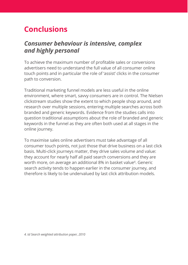## **Conclusions**

### *Consumer behaviour is intensive, complex and highly personal*

To achieve the maximum number of profitable sales or conversions advertisers need to understand the full value of all consumer online touch points and in particular the role of 'assist' clicks in the consumer path to conversion.

Traditional marketing funnel models are less useful in the online environment, where smart, savvy consumers are in control. The Nielsen clickstream studies show the extent to which people shop around, and research over multiple sessions, entering multiple searches across both branded and generic keywords. Evidence from the studies calls into question traditional assumptions about the role of branded and generic keywords in the funnel as they are often both used at all stages in the online journey.

To maximise sales online advertisers must take advantage of all consumer touch points, not just those that drive business on a last click basis. Multi-click journeys matter, they drive sales volume and value: they account for nearly half all paid search conversions and they are worth more, on average an additional 8% in basket value<sup>4</sup>. Generic search activity tends to happen earlier in the consumer journey, and therefore is likely to be undervalued by last click attribution models.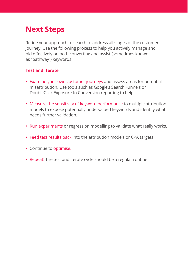## **Next Steps**

Refine your approach to search to address all stages of the customer journey. Use the following process to help you actively manage and bid effectively on both converting and assist (sometimes known as "pathway") keywords:

#### **Test and iterate**

- Examine your own customer journeys and assess areas for potential misattribution. Use tools such as Google's Search Funnels or DoubleClick Exposure to Conversion reporting to help.
- Measure the sensitivity of keyword performance to multiple attribution models to expose potentially undervalued keywords and identify what needs further validation
- Run experiments or regression modelling to validate what really works.
- Feed test results back into the attribution models or CPA targets.
- Continue to optimise.
- Repeat! The test and iterate cycle should be a regular routine.